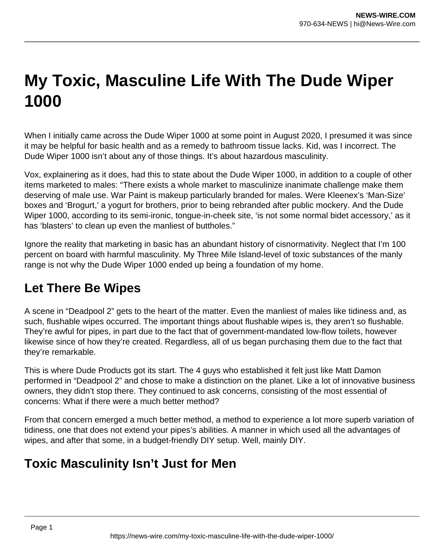# **My Toxic, Masculine Life With The Dude Wiper 1000**

When I initially came across the Dude Wiper 1000 at some point in August 2020, I presumed it was since it may be helpful for basic health and as a remedy to bathroom tissue lacks. Kid, was I incorrect. The Dude Wiper 1000 isn't about any of those things. It's about hazardous masculinity.

Vox, explainering as it does, had this to state about the Dude Wiper 1000, in addition to a couple of other items marketed to males: "There exists a whole market to masculinize inanimate challenge make them deserving of male use. War Paint is makeup particularly branded for males. Were Kleenex's 'Man-Size' boxes and 'Brogurt,' a yogurt for brothers, prior to being rebranded after public mockery. And the Dude Wiper 1000, according to its semi-ironic, tongue-in-cheek site, 'is not some normal bidet accessory,' as it has 'blasters' to clean up even the manliest of buttholes."

Ignore the reality that marketing in basic has an abundant history of cisnormativity. Neglect that I'm 100 percent on board with harmful masculinity. My Three Mile Island-level of toxic substances of the manly range is not why the Dude Wiper 1000 ended up being a foundation of my home.

# **Let There Be Wipes**

A scene in "Deadpool 2" gets to the heart of the matter. Even the manliest of males like tidiness and, as such, flushable wipes occurred. The important things about flushable wipes is, they aren't so flushable. They're awful for pipes, in part due to the fact that of government-mandated low-flow toilets, however likewise since of how they're created. Regardless, all of us began purchasing them due to the fact that they're remarkable.

This is where Dude Products got its start. The 4 guys who established it felt just like Matt Damon performed in "Deadpool 2" and chose to make a distinction on the planet. Like a lot of innovative business owners, they didn't stop there. They continued to ask concerns, consisting of the most essential of concerns: What if there were a much better method?

From that concern emerged a much better method, a method to experience a lot more superb variation of tidiness, one that does not extend your pipes's abilities. A manner in which used all the advantages of wipes, and after that some, in a budget-friendly DIY setup. Well, mainly DIY.

# **Toxic Masculinity Isn't Just for Men**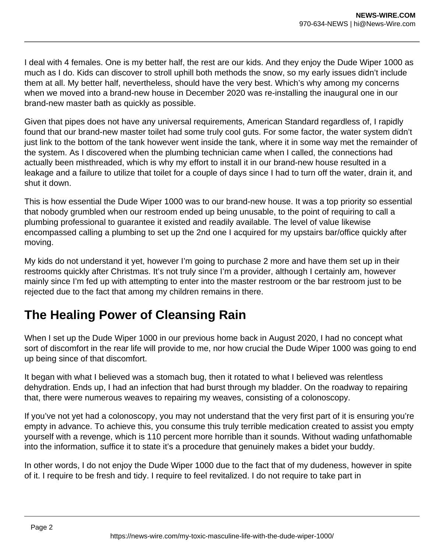I deal with 4 females. One is my better half, the rest are our kids. And they enjoy the Dude Wiper 1000 as much as I do. Kids can discover to stroll uphill both methods the snow, so my early issues didn't include them at all. My better half, nevertheless, should have the very best. Which's why among my concerns when we moved into a brand-new house in December 2020 was re-installing the inaugural one in our brand-new master bath as quickly as possible.

Given that pipes does not have any universal requirements, American Standard regardless of, I rapidly found that our brand-new master toilet had some truly cool guts. For some factor, the water system didn't just link to the bottom of the tank however went inside the tank, where it in some way met the remainder of the system. As I discovered when the plumbing technician came when I called, the connections had actually been misthreaded, which is why my effort to install it in our brand-new house resulted in a leakage and a failure to utilize that toilet for a couple of days since I had to turn off the water, drain it, and shut it down.

This is how essential the Dude Wiper 1000 was to our brand-new house. It was a top priority so essential that nobody grumbled when our restroom ended up being unusable, to the point of requiring to call a plumbing professional to guarantee it existed and readily available. The level of value likewise encompassed calling a plumbing to set up the 2nd one I acquired for my upstairs bar/office quickly after moving.

My kids do not understand it yet, however I'm going to purchase 2 more and have them set up in their restrooms quickly after Christmas. It's not truly since I'm a provider, although I certainly am, however mainly since I'm fed up with attempting to enter into the master restroom or the bar restroom just to be rejected due to the fact that among my children remains in there.

# **The Healing Power of Cleansing Rain**

When I set up the Dude Wiper 1000 in our previous home back in August 2020, I had no concept what sort of discomfort in the rear life will provide to me, nor how crucial the Dude Wiper 1000 was going to end up being since of that discomfort.

It began with what I believed was a stomach bug, then it rotated to what I believed was relentless dehydration. Ends up, I had an infection that had burst through my bladder. On the roadway to repairing that, there were numerous weaves to repairing my weaves, consisting of a colonoscopy.

If you've not yet had a colonoscopy, you may not understand that the very first part of it is ensuring you're empty in advance. To achieve this, you consume this truly terrible medication created to assist you empty yourself with a revenge, which is 110 percent more horrible than it sounds. Without wading unfathomable into the information, suffice it to state it's a procedure that genuinely makes a bidet your buddy.

In other words, I do not enjoy the Dude Wiper 1000 due to the fact that of my dudeness, however in spite of it. I require to be fresh and tidy. I require to feel revitalized. I do not require to take part in